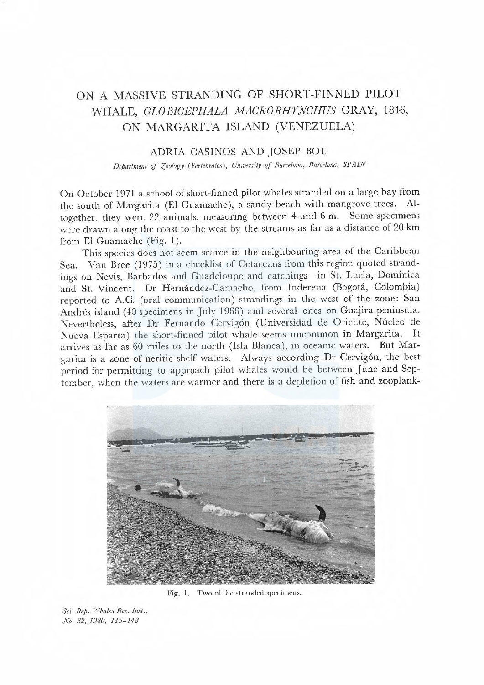# ON A MASSIVE STRANDING OF SHORT-FINNED PILOT WHALE, GLO BICEPHALA MACRORHYNCHUS GRAY, 1846, ON MARGARITA ISLAND (VENEZUELA)

## ADRIA CASINOS AND JOSEP BOU

Department of Zoology (Vertebrates), University of Barcelona, Barcelona, SPAIN

On October 1971 a school of short-finned pilot whales stranded on a large bay from the south of Margarita (El Guamachc), a sandy beach with mangrove tres. Altogether, they were 22 animals, measuring between 4 and 6 m. Some specimens were drawn along the coast to the west by the streams as far as a distance of 20 km from El Guamache (Fig. I).

This species does not seem scarce in the neighbouring area of the Caribbean Sea. Van Bree (1975) in a checklist of Cetaceans from this region quoted strandings on Nevis, Barbados and Guadeloupe and catchings-in St. Lucia, Dominica and St. Vincent. Dr Hernández-Camacho, from Inderena (Bogotá, Colombia) reported to A.C. (oral communication) strandings in the west of the zone: San Andrés island (40 specimens in July 1966) and several ones on Guajira peninsula. Nevertheless, after Dr Fernando Cervigón (Universidad de Oriente, Núcleo de Nueva Esparta) the short-finned pilot whale seems uncommon in Margarita. It arrives as far as 60 miles to the north (Isla Blanca), in oceanic waters. But Margarita is a zone of neritic shelf waters. Always according Dr Cervigón, the best period for permitting to approach pilot whales would be between June and September, when the waters are warmer and there is a depletion of fish and zooplank-



Fig. 1. Two of the stranded specimens.

Sci. Rep. Whales Res. Inst., No. 32, 1980, 145-148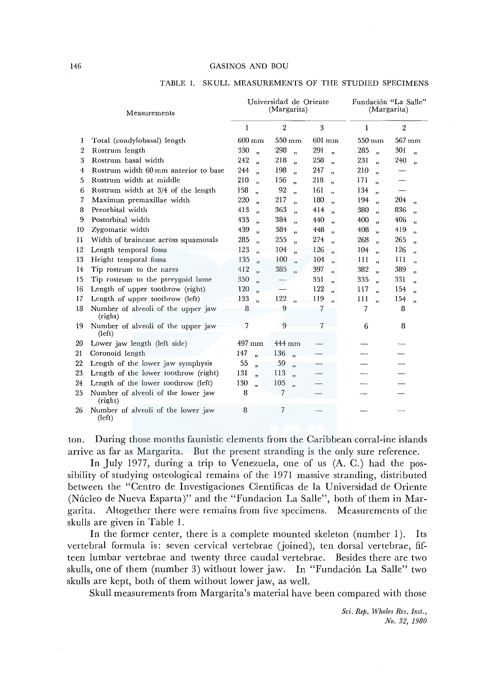#### 146 GASINOS AND BOU

|                | Measurements                                  |                  | Universidad de Oriente<br>(Margarita) |                  |                         |                  |                         | Fundación "La Salle"<br>(Margarita) |                         |                |                            |
|----------------|-----------------------------------------------|------------------|---------------------------------------|------------------|-------------------------|------------------|-------------------------|-------------------------------------|-------------------------|----------------|----------------------------|
|                |                                               | 1                |                                       | $\overline{2}$   |                         | 3                |                         | 1                                   |                         | $\overline{2}$ |                            |
| 1              | Total (condylobasal) length                   | $600 \text{ mm}$ |                                       | $550 \text{ mm}$ |                         | $601 \text{ mm}$ |                         | $550 \text{ mm}$                    |                         | 567 mm         |                            |
| $\overline{2}$ | Rostrum length                                | 330              | $\ddot{\phantom{a}}$                  | 298              | $\ddot{\phantom{1}}$    | 291              | $\ddot{\phantom{a}}$    | 285                                 | $\overline{\mathbf{z}}$ | 301            | $\ddot{\phantom{a}}$       |
| 3              | Rostrum basal width                           | 242              | ,                                     | 218              | $\mathbf{r}$            | 258              | ,                       | 231                                 | $\mathbf{v}$            | 240            | 33                         |
| 4              | Rostrum width 60 mm anterior to base          | 244              | $\overline{v}$                        | 198              | $\overline{v}$          | 247              | ,                       | 210                                 | $\overline{\mathbf{v}}$ |                |                            |
| 5              | Rostrum width at middle                       | 210              | $\overline{1}$                        | 156              | $\overline{\mathbf{5}}$ | 218              | $\mathbf{v}$            | 171                                 | $\ddot{\phantom{a}}$    |                |                            |
| 6              | Rostrum width at 3/4 of the length            | 158              | ss.                                   | 92               | $\overline{\mathbf{v}}$ | 161              | ,                       | 134                                 | $\overline{\mathbf{z}}$ |                |                            |
| 7              | Maximun premaxillae width                     | 220              | $\ddot{\phantom{0}}$                  | 217              | $\ddot{ }$              | 180              | $\overline{\mathbf{5}}$ | 194                                 | $\ddot{\phantom{a}}$    | 204            | ,                          |
| 8              | Preorbital width                              | 413              | ,                                     | 363              | ,                       | 414              | $\overline{\mathbf{5}}$ | 380                                 | ,                       | 836            | $\overline{\mathbf{v}}$    |
| 9              | Postorbital width                             | 433              | $\mathbf{v}$                          | 384              | $\ddot{\phantom{0}}$    | 440              | ,                       | 400                                 | $\ddot{\mathbf{v}}$     | 406            | $\boldsymbol{\mathcal{D}}$ |
| 10             | Zygomatic width                               | 439              | $\mathbf{r}$                          | 384              | $\overline{\mathbf{v}}$ | 448              | ,                       | 408                                 | $\overline{\mathbf{v}}$ | 419            | $\overline{\mathbf{v}}$    |
| 11             | Width of braincase across squamosals          | 285              | $\ddot{ }$                            | 255              | $\overline{ }$          | 274              | $\overline{\mathbf{5}}$ | 268                                 | $\overline{\mathbf{5}}$ | 265            | $\overline{\mathbf{r}}$    |
| 12             | Length temporal fossa                         | 123              | $\ddot{ }$                            | 104              | $\ddot{ }$              | 126              | $\ddot{\mathbf{v}}$     | 104                                 | $\ddot{\phantom{a}}$    | 126            | $\ddot{\phantom{1}}$       |
| 13             | Height temporal fossa                         | 135              | $\ddot{\phantom{0}}$                  | 100              | $\overline{\mathbf{5}}$ | 104              | $\overline{\mathbf{v}}$ | 111                                 | $\overline{\mathbf{r}}$ | 111            | ,                          |
| 14             | Tip rostrum to the nares                      | 412              | $\ddot{\mathbf{v}}$                   | 385              | ,                       | 397              | ,                       | 382                                 | $\ddot{\phantom{a}}$    | 389            | $\mathbf{v}$               |
| 15             | Tip rostrum to the pterygoid bone             | 350              | $\overline{\mathbf{z}}$               |                  |                         | 351              | $\overline{\mathbf{5}}$ | 335                                 | $\ddot{\phantom{a}}$    | 331            | $\overline{\mathbf{5}}$    |
| 16             | Length of upper toothrow (right)              | 120              | ,                                     |                  |                         | 122              | $\overline{\mathbf{5}}$ | 117                                 | $\ddot{\phantom{1}}$    | 154            | $\mathbf{r}$               |
| 17             | Length of upper toothrow (left)               | 133              | $\ddot{\phantom{a}}$                  | 122              | $\ddot{\phantom{0}}$    | 119              | $\overline{\mathbf{3}}$ | 111                                 | $\ddot{\phantom{1}}$    | 154            | $\mathbf{r}$               |
| 18             | Number of alveoli of the upper jaw<br>(right) | 8                |                                       | 9                |                         | 7                |                         | 7                                   |                         | 8              |                            |
| 19             | Number of alveoli of the upper jaw<br>(left)  | 7                |                                       | 9                |                         | 7                |                         | 6                                   |                         | 8              |                            |
| 20             | Lower jaw length (left side)                  | $497 \text{ mm}$ |                                       | 444 mm           |                         |                  |                         |                                     |                         |                |                            |
| 21             | Coronoid length                               | 147              | $\mathbf{r}$                          | 136              | $\overline{\mathbf{5}}$ |                  |                         |                                     |                         |                |                            |
| 22             | Length of the lower jaw symphysis             | 55               | $\overline{v}$                        | 59               | ,                       |                  |                         |                                     |                         |                |                            |
| 23             | Length of the lower toothrow (right)          | 131              | ,                                     | 113              | $\ddot{\phantom{a}}$    |                  |                         |                                     |                         |                |                            |
| 24             | Length of the lower toothrow (left)           | 130              | $\ddot{\mathbf{v}}$                   | 105              | ,                       |                  |                         |                                     |                         |                |                            |
| 25             | Number of alveoli of the lower jaw<br>(right) | 8                |                                       | 7                |                         |                  |                         |                                     |                         |                |                            |
| 26             | Number of alveoli of the lower jaw<br>(left)  | 8                |                                       | 7                |                         |                  |                         |                                     |                         |                |                            |

#### TABLE I. SKULL MEASUREMENTS OF THE STUDIED SPECIMENS

ton. During those months faunistic elements from the Caribbean corral-ine islands arrive as far as Margarita. But the present stranding is the only sure reference.

In July 1977, during a trip to Venezuela, one of us (A. C.) had the possibility of studying osteological remains of the 1971 massive stranding, distributed between the "Centro de Investigaciones Cientificas de la Universidad de Oriente (Núcleo de Nueva Esparta)" and the "Fundacion La Salle", both of them in Margarita. Altogether there were remains from five specimens. Measurements of the skulls are given in Table 1.

In the former center, there is a complete mounted skeleton (number 1). Its vertebral formula is: seven cervical vertebrae (joined), ten dorsal vertebrae, fifteen lumbar vertebrae and twenty three caudal vertebrae. Besides there are two skulls, one of them (number 3) without lower jaw. In "Fundacion La Salle" two skulls are kept, both of them without lower jaw, as well.

Skull measurements from Margarita's material have been compared with those

*Sci. Rep. Whales Res. Inst., No. 32, 1980*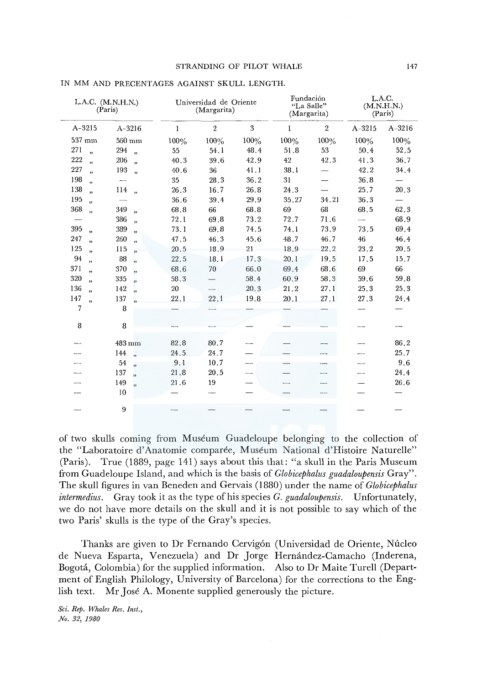|                                | L.A.C. (M.N.H.N.)<br>(Paris)   |              | Universidad de Oriente<br>(Margarita) |         |       | Fundación<br>"La Salle"<br>(Margarita) | L.A.C.<br>(M.N.H.N.)<br>(Paris) |            |  |
|--------------------------------|--------------------------------|--------------|---------------------------------------|---------|-------|----------------------------------------|---------------------------------|------------|--|
| $A-3215$                       | $A - 3216$                     | $\mathbf{1}$ | $\overline{2}$                        | 3       | 1     | $\overline{2}$                         | $A - 3215$                      | $A - 3216$ |  |
| 537 mm                         | $560 \text{ mm}$               | 100%         | 100%                                  | $100\%$ | 100%  | 100%                                   | 100%                            | 100%       |  |
| 271<br>$\overline{v}$          | 294<br>$\ddot{\phantom{0}}$    | 55           | 54.1                                  | 48.4    | 51.8  | 53                                     | 50.4                            | 52.5       |  |
| 222<br>,                       | 206<br>$\overline{\mathbf{r}}$ | 40.3         | 39.6                                  | 42.9    | 42    | 42.3                                   | 41.3                            | 36.7       |  |
| 227<br>$\mathbf{r}$            | 193<br>$\overline{\mathbf{z}}$ | 40.6         | 36                                    | 41.1    | 38.1  | $\overline{\phantom{0}}$               | 42.2                            | 34.4       |  |
| 198<br>,                       | $\overline{\phantom{a}}$       | 35           | 28.3                                  | 36.2    | 31    |                                        | 36.8                            |            |  |
| 138<br>$\overline{\mathbf{v}}$ | 114<br>,                       | 26.3         | 16.7                                  | 26.8    | 24.3  |                                        | 25.7                            | 20.3       |  |
| 195<br>ă3                      | $\overline{\phantom{0}}$       | 36.6         | 39.4                                  | 29.9    | 35,27 | 34.21                                  | 36.3                            |            |  |
| 368<br>,                       | 349<br>$\overline{\mathbf{z}}$ | 68.8         | 66                                    | 68.8    | 69    | 68                                     | 68.5                            | 62.3       |  |
|                                | 386<br>$\mathbf{r}$            | 72.1         | 69.8                                  | 73.2    | 72.7  | 71.6                                   | $\frac{1}{2}$                   | 68.9       |  |
| 395<br>$\overline{\mathbf{v}}$ | 389<br>$\overline{\mathbf{v}}$ | 73.1         | 69.8                                  | 74.5    | 74.1  | 73.9                                   | 73.5                            | 69.4       |  |
| 247<br>$\overline{\mathbf{v}}$ | 260<br>,,                      | 47.5         | 46.3                                  | 45.6    | 48.7  | 46.7                                   | 46                              | 46.4       |  |
| 125<br>,,                      | 115<br>$\overline{\mathbf{z}}$ | 20.5         | 18.9                                  | 21      | 18.9  | 22.2                                   | 23.2                            | 20.5       |  |
| 94<br>,,                       | 88<br>$\overline{\mathbf{5}}$  | 22.5         | 18.1                                  | 17.3    | 20.1  | 19.5                                   | 17.5                            | 15.7       |  |
| 371<br>,,                      | 370<br>$\overline{\mathbf{z}}$ | 68.6         | 70                                    | 66.0    | 69.4  | 68.6                                   | 69                              | 66         |  |
| 320<br>$\overline{\mathbf{v}}$ | 335<br>$\overline{\mathbf{5}}$ | 58.3         | $\overline{\phantom{0}}$              | 58.4    | 60.9  | 58.3                                   | 59.6                            | 59.8       |  |
| 136<br>$\overline{\mathbf{u}}$ | 142<br>$\overline{\mathbf{5}}$ | 20           | ---                                   | 20.3    | 21.2  | 27.1                                   | 25.3                            | 25.3       |  |
| 147<br>$\overline{\mathbf{5}}$ | 137                            | 22,1         | 22.1                                  | 19.8    | 20.1  | 27.1                                   | 27.3                            | 24.4       |  |
| 7                              | 8                              |              |                                       |         |       |                                        |                                 |            |  |
| 8                              | 8                              |              |                                       |         |       |                                        |                                 |            |  |
|                                | 483 mm                         | 82.8         | 80.7                                  |         |       |                                        |                                 | 86.2       |  |
|                                | 144<br>$\overline{\mathbf{5}}$ | 24.5         | 24.7                                  |         |       |                                        |                                 | 25.7       |  |
|                                | 54<br>$\overline{\mathbf{5}}$  | 9.1          | 10.7                                  |         |       |                                        |                                 | 9.6        |  |
|                                | 137<br>$\overline{\mathbf{v}}$ | 21.8         | 20.5                                  |         |       |                                        |                                 | 24.4       |  |
|                                | 149<br>$\overline{\mathbf{5}}$ | 21.6         | 19                                    |         |       |                                        |                                 | 26.6       |  |
|                                | 10                             |              |                                       |         |       |                                        |                                 |            |  |
|                                | 9                              |              |                                       |         |       |                                        |                                 |            |  |

## IN MM AND PRECENTAGES AGAINST SKULL LENGTH.

of two skulls coming from Museum Guadeloupe belonging to the collection of the "Laboratoire d'Anatomie comparée, Muséum National d'Histoire Naturelle" (Paris). True (1889, page 141) says about this that: "a skull in the Paris Museum from Guadeloupe Island, and which is the basis of *Globicephalus guadaloupensis* Gray". The skull figures in van Beneden and Gervais (1880) under the name of *Globicephalus intermedius.* Gray took it as the type of his species *G. guadaloupensis.* Unfortunately, we do not have more details on the skull and it is not possible to say which of the two Paris' skulls is the type of the Gray's species.

Thanks are given to Dr Fernando Cervigón (Universidad de Oriente, Núcleo de Nueva Esparta, Venezuela) and Dr Jorge Hernández-Camacho (Inderena, Bogota, Colombia) for the supplied information. Also to Dr Maite Turell (Department of English Philology, University of Barcelona) for the corrections to the English text. Mr Jose A. Monente supplied generously the picture.

*Sci. Rep. Whales Res. Inst., No. 32, 1980*